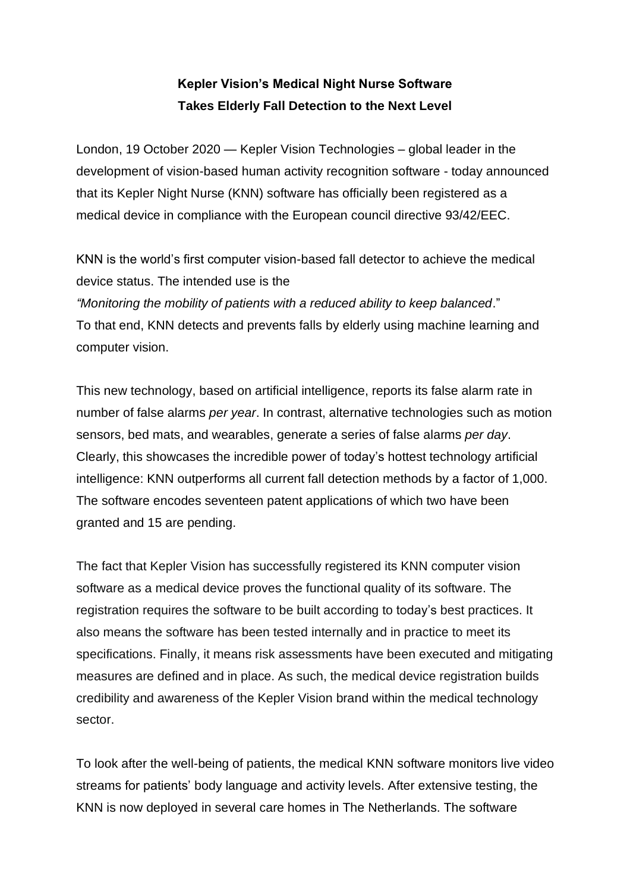## **Kepler Vision's Medical Night Nurse Software Takes Elderly Fall Detection to the Next Level**

London, 19 October 2020 — Kepler Vision Technologies – global leader in the development of vision-based human activity recognition software - today announced that its Kepler Night Nurse (KNN) software has officially been registered as a medical device in compliance with the European council directive 93/42/EEC.

KNN is the world's first computer vision-based fall detector to achieve the medical device status. The intended use is the *"Monitoring the mobility of patients with a reduced ability to keep balanced*." To that end, KNN detects and prevents falls by elderly using machine learning and computer vision.

This new technology, based on artificial intelligence, reports its false alarm rate in number of false alarms *per year*. In contrast, alternative technologies such as motion sensors, bed mats, and wearables, generate a series of false alarms *per day*. Clearly, this showcases the incredible power of today's hottest technology artificial intelligence: KNN outperforms all current fall detection methods by a factor of 1,000. The software encodes seventeen patent applications of which two have been granted and 15 are pending.

The fact that Kepler Vision has successfully registered its KNN computer vision software as a medical device proves the functional quality of its software. The registration requires the software to be built according to today's best practices. It also means the software has been tested internally and in practice to meet its specifications. Finally, it means risk assessments have been executed and mitigating measures are defined and in place. As such, the medical device registration builds credibility and awareness of the Kepler Vision brand within the medical technology sector.

To look after the well-being of patients, the medical KNN software monitors live video streams for patients' body language and activity levels. After extensive testing, the KNN is now deployed in several care homes in The Netherlands. The software